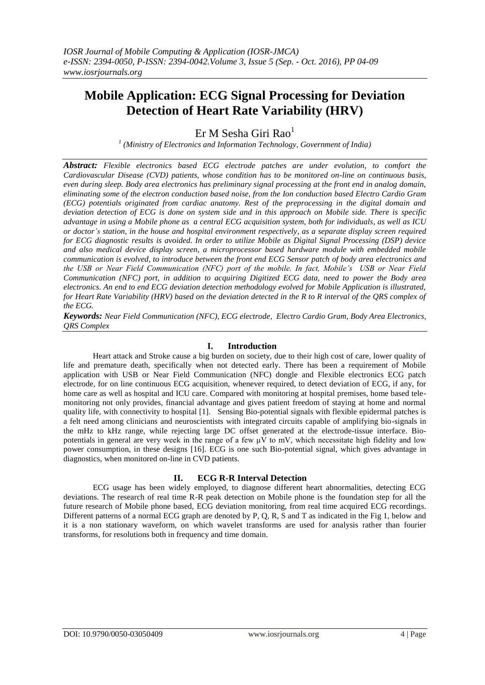# **Mobile Application: ECG Signal Processing for Deviation Detection of Heart Rate Variability (HRV)**

 $Er M$  Sesha Giri Rao<sup>1</sup>

*1 (Ministry of Electronics and Information Technology, Government of India)*

*Abstract: Flexible electronics based ECG electrode patches are under evolution, to comfort the Cardiovascular Disease (CVD) patients, whose condition has to be monitored on-line on continuous basis, even during sleep. Body area electronics has preliminary signal processing at the front end in analog domain, eliminating some of the electron conduction based noise, from the Ion conduction based Electro Cardio Gram (ECG) potentials originated from cardiac anatomy. Rest of the preprocessing in the digital domain and deviation detection of ECG is done on system side and in this approach on Mobile side. There is specific advantage in using a Mobile phone as a central ECG acquisition system, both for individuals, as well as ICU or doctor's station, in the house and hospital environment respectively, as a separate display screen required for ECG diagnostic results is avoided. In order to utilize Mobile as Digital Signal Processing (DSP) device and also medical device display screen, a microprocessor based hardware module with embedded mobile communication is evolved, to introduce between the front end ECG Sensor patch of body area electronics and the USB or Near Field Communication (NFC) port of the mobile. In fact, Mobile's USB or Near Field Communication (NFC) port, in addition to acquiring Digitized ECG data, need to power the Body area electronics. An end to end ECG deviation detection methodology evolved for Mobile Application is illustrated, for Heart Rate Variability (HRV) based on the deviation detected in the R to R interval of the QRS complex of the ECG.*

*Keywords: Near Field Communication (NFC), ECG electrode, Electro Cardio Gram, Body Area Electronics, QRS Complex*

### **I. Introduction**

Heart attack and Stroke cause a big burden on society, due to their high cost of care, lower quality of life and premature death, specifically when not detected early. There has been a requirement of Mobile application with USB or Near Field Communication (NFC) dongle and Flexible electronics ECG patch electrode, for on line continuous ECG acquisition, whenever required, to detect deviation of ECG, if any, for home care as well as hospital and ICU care. Compared with monitoring at hospital premises, home based telemonitoring not only provides, financial advantage and gives patient freedom of staying at home and normal quality life, with connectivity to hospital [1]. Sensing Bio-potential signals with flexible epidermal patches is a felt need among clinicians and neuroscientists with integrated circuits capable of amplifying bio-signals in the mHz to kHz range, while rejecting large DC offset generated at the electrode-tissue interface. Biopotentials in general are very week in the range of a few  $\mu$ V to mV, which necessitate high fidelity and low power consumption, in these designs [16]. ECG is one such Bio-potential signal, which gives advantage in diagnostics, when monitored on-line in CVD patients.

#### **II. ECG R-R Interval Detection**

ECG usage has been widely employed, to diagnose different heart abnormalities, detecting ECG deviations. The research of real time R-R peak detection on Mobile phone is the foundation step for all the future research of Mobile phone based, ECG deviation monitoring, from real time acquired ECG recordings. Different patterns of a normal ECG graph are denoted by P, Q, R, S and T as indicated in the Fig 1, below and it is a non stationary waveform, on which wavelet transforms are used for analysis rather than fourier transforms, for resolutions both in frequency and time domain.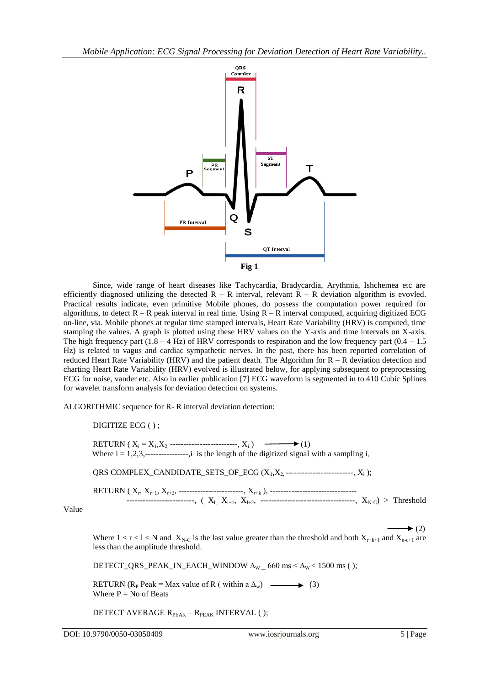

Since, wide range of heart diseases like Tachycardia, Bradycardia, Arythmia, Ishchemea etc are efficiently diagnosed utilizing the detected  $R - R$  interval, relevant  $R - R$  deviation algorithm is evovled. Practical results indicate, even primitive Mobile phones, do possess the computation power required for algorithms, to detect  $R - R$  peak interval in real time. Using  $R - R$  interval computed, acquiring digitized ECG on-line, via. Mobile phones at regular time stamped intervals, Heart Rate Variability (HRV) is computed, time stamping the values. A graph is plotted using these HRV values on the Y-axis and time intervals on X-axis. The high frequency part  $(1.8 - 4 \text{ Hz})$  of HRV corresponds to respiration and the low frequency part  $(0.4 - 1.5$ Hz) is related to vagus and cardiac sympathetic nerves. In the past, there has been reported correlation of reduced Heart Rate Variability (HRV) and the patient death. The Algorithm for R – R deviation detection and charting Heart Rate Variability (HRV) evolved is illustrated below, for applying subsequent to preprocessing ECG for noise, vander etc. Also in earlier publication [7] ECG waveform is segmented in to 410 Cubic Splines for wavelet transform analysis for deviation detection on systems.

ALGORITHMIC sequence for R- R interval deviation detection:

DIGITIZE ECG ( ) ;

RETURN ( $X_i = X_1, X_2, \dots \dots \dots \dots \dots \dots \dots \dots, X_i$ )  $\longrightarrow (1)$ Where  $i = 1,2,3, \dots$ --------------,i is the length of the digitized signal with a sampling  $i_1$ 

QRS COMPLEX\_CANDIDATE\_SETS\_OF\_ECG  $(X_1, X_2, \ldots, X_n, X_i)$ ;

RETURN ( X<sup>r</sup> , Xr+1, Xr+2, ------------------------, Xr+k ), -------------------------------- ------------------------,  $(X_{l}, X_{l+1}, X_{l+2}, -$ ----------------------------------,  $X_{N-C}$  > Threshold

Value

 $\rightarrow$  (2)

Where  $1 < r < l < N$  and  $X_{N-C}$  is the last value greater than the threshold and both  $X_{r+k+1}$  and  $X_{n-c+1}$  are less than the amplitude threshold.

DETECT\_QRS\_PEAK\_IN\_EACH\_WINDOW  $\Delta_W$  = 660 ms <  $\Delta_W$  < 1500 ms ( );

RETURN (R<sub>P</sub> Peak = Max value of R ( within a  $\Delta_w$ ) (3) Where  $P = No$  of Beats

DETECT AVERAGE R<sub>PEAK</sub> – R<sub>PEAK</sub> INTERVAL ( );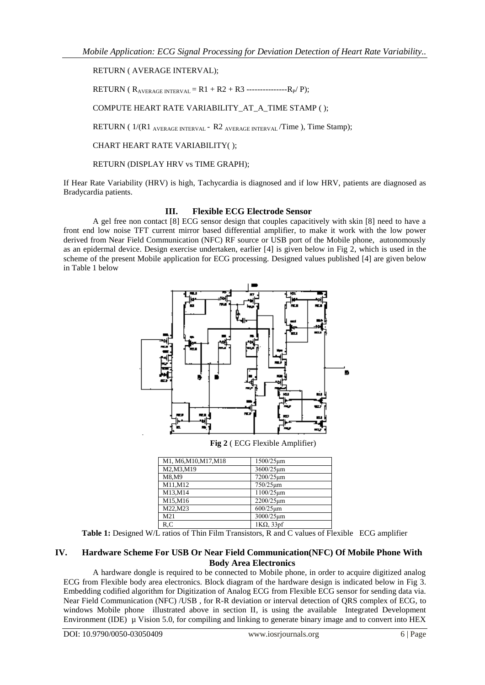## RETURN ( AVERAGE INTERVAL);

RETURN ( $R_{\text{AVERAGE INTERVAL}} = R1 + R2 + R3$  ---------------- $R_{P}/P$ );

COMPUTE HEART RATE VARIABILITY\_AT\_A\_TIME STAMP ( );

RETURN (  $1/(R1)$  AVERAGE INTERVAL - R2 AVERAGE INTERVAL / Time ), Time Stamp);

CHART HEART RATE VARIABILITY( );

RETURN (DISPLAY HRV vs TIME GRAPH);

If Hear Rate Variability (HRV) is high, Tachycardia is diagnosed and if low HRV, patients are diagnosed as Bradycardia patients.

## **III. Flexible ECG Electrode Sensor**

A gel free non contact [8] ECG sensor design that couples capacitively with skin [8] need to have a front end low noise TFT current mirror based differential amplifier, to make it work with the low power derived from Near Field Communication (NFC) RF source or USB port of the Mobile phone, autonomously as an epidermal device. Design exercise undertaken, earlier [4] is given below in Fig 2, which is used in the scheme of the present Mobile application for ECG processing. Designed values published [4] are given below in Table 1 below



**Fig 2** ( ECG Flexible Amplifier)

| M1, M6, M10, M17, M18 | 1500/25um         |
|-----------------------|-------------------|
| M2, M3, M19           | 3600/25um         |
| M8.M9                 | 7200/25um         |
| M11, M12              | $750/25 \mu m$    |
| M13,M14               | 1100/25um         |
| M15,M16               | 2200/25um         |
| M22.M23               | $600/25 \mu m$    |
| M21                   | 3000/25um         |
| R.C                   | $1K\Omega$ , 33pf |

**Table 1:** Designed W/L ratios of Thin Film Transistors, R and C values of Flexible ECG amplifier

# **IV. Hardware Scheme For USB Or Near Field Communication(NFC) Of Mobile Phone With Body Area Electronics**

A hardware dongle is required to be connected to Mobile phone, in order to acquire digitized analog ECG from Flexible body area electronics. Block diagram of the hardware design is indicated below in Fig 3. Embedding codified algorithm for Digitization of Analog ECG from Flexible ECG sensor for sending data via. Near Field Communication (NFC) /USB , for R-R deviation or interval detection of QRS complex of ECG, to windows Mobile phone illustrated above in section II, is using the available Integrated Development Environment (IDE) µ Vision 5.0, for compiling and linking to generate binary image and to convert into HEX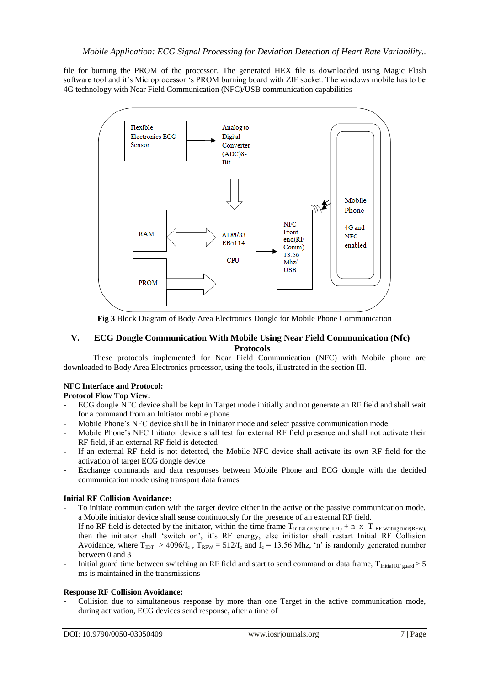file for burning the PROM of the processor. The generated HEX file is downloaded using Magic Flash software tool and it"s Microprocessor "s PROM burning board with ZIF socket. The windows mobile has to be 4G technology with Near Field Communication (NFC)/USB communication capabilities



**Fig 3** Block Diagram of Body Area Electronics Dongle for Mobile Phone Communication

# **V. ECG Dongle Communication With Mobile Using Near Field Communication (Nfc) Protocols**

These protocols implemented for Near Field Communication (NFC) with Mobile phone are downloaded to Body Area Electronics processor, using the tools, illustrated in the section III.

# **NFC Interface and Protocol:**

**Protocol Flow Top View:**

- ECG dongle NFC device shall be kept in Target mode initially and not generate an RF field and shall wait for a command from an Initiator mobile phone
- Mobile Phone's NFC device shall be in Initiator mode and select passive communication mode
- Mobile Phone"s NFC Initiator device shall test for external RF field presence and shall not activate their RF field, if an external RF field is detected
- If an external RF field is not detected, the Mobile NFC device shall activate its own RF field for the activation of target ECG dongle device
- Exchange commands and data responses between Mobile Phone and ECG dongle with the decided communication mode using transport data frames

## **Initial RF Collision Avoidance:**

- To initiate communication with the target device either in the active or the passive communication mode, a Mobile initiator device shall sense continuously for the presence of an external RF field.
- If no RF field is detected by the initiator, within the time frame  $T_{initial\ delay\ time (IDT)} + n \times T_{RF\ waiting\ time (RFW)}$ , then the initiator shall "switch on", it"s RF energy, else initiator shall restart Initial RF Collision Avoidance, where  $T_{IDT} > 4096/f_c$ ,  $T_{RFW} = 512/f_c$  and  $f_c = 13.56$  Mhz, 'n' is randomly generated number between 0 and 3
- Initial guard time between switching an RF field and start to send command or data frame,  $T_{\text{Initial RF guard}} > 5$ ms is maintained in the transmissions

## **Response RF Collision Avoidance:**

- Collision due to simultaneous response by more than one Target in the active communication mode, during activation, ECG devices send response, after a time of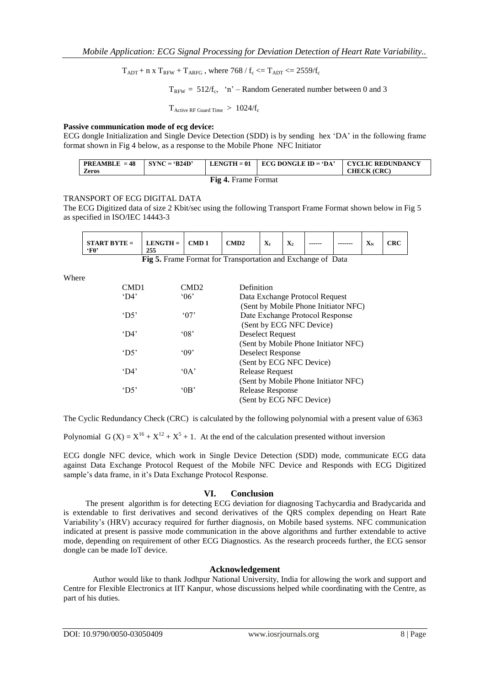$T_{ADT}$  + n x  $T_{RFW}$  +  $T_{ARFG}$ , where 768 /  $f_c \le T_{ADT} \le 2559/f_c$ 

 $T_{RFW} = 512/f_c$ , 'n' – Random Generated number between 0 and 3

 $T_{\text{Active RF}$  Guard Time  $1024/f_c$ 

## **Passive communication mode of ecg device:**

ECG dongle Initialization and Single Device Detection (SDD) is by sending hex "DA" in the following frame format shown in Fig 4 below, as a response to the Mobile Phone NFC Initiator

| <b>PREAMBLE</b> = $48$<br><b>Zeros</b> | $SYNC = 'B24D'$ | $\textbf{LENGTH} = 01$ | $\perp$ ECG DONGLE ID = 'DA' | <b>CYCLIC REDUNDANCY</b><br><b>CHECK</b> (CRC) |
|----------------------------------------|-----------------|------------------------|------------------------------|------------------------------------------------|
| <b>Fig 4. Frame Format</b>             |                 |                        |                              |                                                |

#### TRANSPORT OF ECG DIGITAL DATA

The ECG Digitized data of size 2 Kbit/sec using the following Transport Frame Format shown below in Fig 5 as specified in ISO/IEC 14443-3

| $LENGTH =$<br><b>START BYTE =</b><br>CMD 1<br>`F0'<br>255 | $\mathbf{v}$<br>CMD <sub>2</sub><br>$\mathbf{A}_1$ | $-$<br>------<br>$\boldsymbol{\Lambda}$<br>--- | $\mathbf{v}$<br>CRC<br>-------<br>- Ar<br>$\sim$ $\sim$ |
|-----------------------------------------------------------|----------------------------------------------------|------------------------------------------------|---------------------------------------------------------|
|-----------------------------------------------------------|----------------------------------------------------|------------------------------------------------|---------------------------------------------------------|

|  |  |  | Fig 5. Frame Format for Transportation and Exchange of Data |  |
|--|--|--|-------------------------------------------------------------|--|
|--|--|--|-------------------------------------------------------------|--|

Where

| CMD1            | CMD <sub>2</sub> | Definition                           |
|-----------------|------------------|--------------------------------------|
| $^{\circ}$ D4'  | 06'              | Data Exchange Protocol Request       |
|                 |                  | (Sent by Mobile Phone Initiator NFC) |
| $^{\circ}$ D.5' | $^{\circ}07'$    | Date Exchange Protocol Response      |
|                 |                  | (Sent by ECG NFC Device)             |
| $^{\circ}$ D4'  | $^{\circ}08$     | Deselect Request                     |
|                 |                  | (Sent by Mobile Phone Initiator NFC) |
| $^{\circ}$ D5'  | $^{\circ}09'$    | <b>Deselect Response</b>             |
|                 |                  | (Sent by ECG NFC Device)             |
| $^{\circ}$ D4'  | 0A               | <b>Release Request</b>               |
|                 |                  | (Sent by Mobile Phone Initiator NFC) |
| $^{\circ}$ D5'  | $^{\circ}$ 0 B   | Release Response                     |
|                 |                  | (Sent by ECG NFC Device)             |
|                 |                  |                                      |

The Cyclic Redundancy Check (CRC) is calculated by the following polynomial with a present value of 6363

Polynomial G (X) =  $X^{16} + X^{12} + X^5 + 1$ . At the end of the calculation presented without inversion

ECG dongle NFC device, which work in Single Device Detection (SDD) mode, communicate ECG data against Data Exchange Protocol Request of the Mobile NFC Device and Responds with ECG Digitized sample's data frame, in it's Data Exchange Protocol Response.

#### **VI. Conclusion**

The present algorithm is for detecting ECG deviation for diagnosing Tachycardia and Bradycarida and is extendable to first derivatives and second derivatives of the QRS complex depending on Heart Rate Variability"s (HRV) accuracy required for further diagnosis, on Mobile based systems. NFC communication indicated at present is passive mode communication in the above algorithms and further extendable to active mode, depending on requirement of other ECG Diagnostics. As the research proceeds further, the ECG sensor dongle can be made IoT device.

#### **Acknowledgement**

Author would like to thank Jodhpur National University, India for allowing the work and support and Centre for Flexible Electronics at IIT Kanpur, whose discussions helped while coordinating with the Centre, as part of his duties.